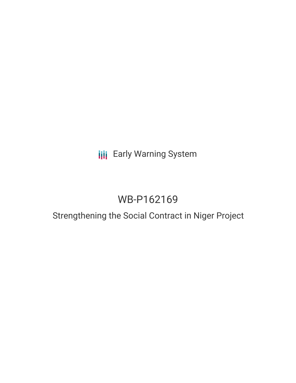## **III** Early Warning System

# WB-P162169

## Strengthening the Social Contract in Niger Project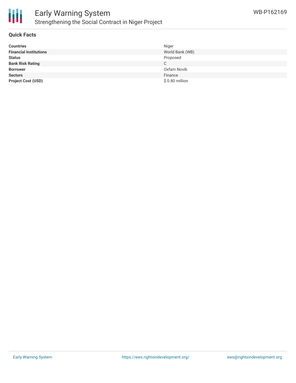

## Early Warning System Strengthening the Social Contract in Niger Project

#### **Quick Facts**

| <b>Countries</b>              | Niger           |
|-------------------------------|-----------------|
| <b>Financial Institutions</b> | World Bank (WB) |
| <b>Status</b>                 | Proposed        |
| <b>Bank Risk Rating</b>       | C.              |
| <b>Borrower</b>               | Oxfam Novib     |
| <b>Sectors</b>                | Finance         |
| <b>Project Cost (USD)</b>     | \$0.80 million  |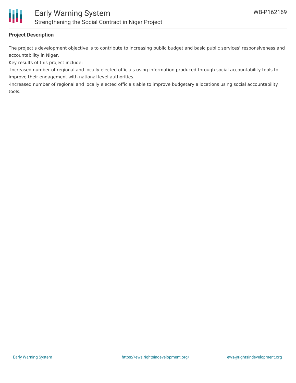

### **Project Description**

The project's development objective is to contribute to increasing public budget and basic public services' responsiveness and accountability in Niger.

Key results of this project include;

-Increased number of regional and locally elected officials using information produced through social accountability tools to improve their engagement with national level authorities.

-Increased number of regional and locally elected officials able to improve budgetary allocations using social accountability tools.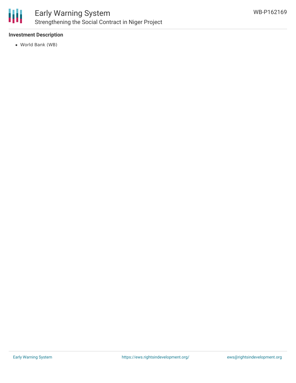

## Early Warning System Strengthening the Social Contract in Niger Project

### **Investment Description**

World Bank (WB)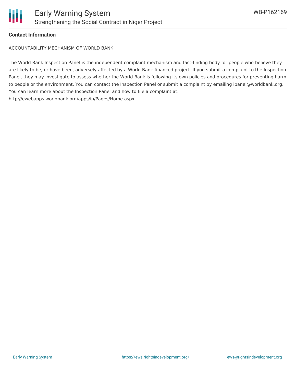

### **Contact Information**

ACCOUNTABILITY MECHANISM OF WORLD BANK

The World Bank Inspection Panel is the independent complaint mechanism and fact-finding body for people who believe they are likely to be, or have been, adversely affected by a World Bank-financed project. If you submit a complaint to the Inspection Panel, they may investigate to assess whether the World Bank is following its own policies and procedures for preventing harm to people or the environment. You can contact the Inspection Panel or submit a complaint by emailing ipanel@worldbank.org. You can learn more about the Inspection Panel and how to file a complaint at: http://ewebapps.worldbank.org/apps/ip/Pages/Home.aspx.